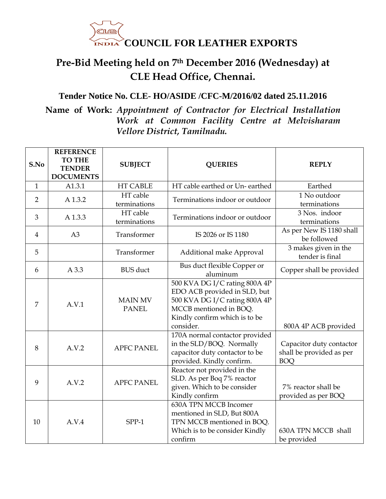

## **Pre-Bid Meeting held on 7th December 2016 (Wednesday) at CLE Head Office, Chennai.**

## **Tender Notice No. CLE- HO/ASIDE /CFC-M/2016/02 dated 25.11.2016**

## **Name of Work:** *Appointment of Contractor for Electrical Installation Work at Common Facility Centre at Melvisharam Vellore District, Tamilnadu.*

| S.No           | <b>REFERENCE</b><br><b>TO THE</b><br><b>TENDER</b><br><b>DOCUMENTS</b> | <b>SUBJECT</b>                 | <b>QUERIES</b>                                                                                                                                                         | <b>REPLY</b>                                                       |
|----------------|------------------------------------------------------------------------|--------------------------------|------------------------------------------------------------------------------------------------------------------------------------------------------------------------|--------------------------------------------------------------------|
| $\mathbf{1}$   | A1.3.1                                                                 | <b>HT CABLE</b>                | HT cable earthed or Un-earthed                                                                                                                                         | Earthed                                                            |
| $\overline{2}$ | A 1.3.2                                                                | HT cable<br>terminations       | Terminations indoor or outdoor                                                                                                                                         | 1 No outdoor<br>terminations                                       |
| 3              | A 1.3.3                                                                | HT cable<br>terminations       | Terminations indoor or outdoor                                                                                                                                         | 3 Nos. indoor<br>terminations                                      |
| 4              | A3                                                                     | Transformer                    | IS 2026 or IS 1180                                                                                                                                                     | As per New IS 1180 shall<br>be followed                            |
| 5              |                                                                        | Transformer                    | Additional make Approval                                                                                                                                               | 3 makes given in the<br>tender is final                            |
| 6              | A 3.3                                                                  | <b>BUS</b> duct                | Bus duct flexible Copper or<br>aluminum                                                                                                                                | Copper shall be provided                                           |
| 7              | A.V.1                                                                  | <b>MAIN MV</b><br><b>PANEL</b> | 500 KVA DG I/C rating 800A 4P<br>EDO ACB provided in SLD, but<br>500 KVA DG I/C rating 800A 4P<br>MCCB mentioned in BOQ.<br>Kindly confirm which is to be<br>consider. | 800A 4P ACB provided                                               |
| 8              | A.V.2                                                                  | <b>APFC PANEL</b>              | 170A normal contactor provided<br>in the SLD/BOQ. Normally<br>capacitor duty contactor to be<br>provided. Kindly confirm.                                              | Capacitor duty contactor<br>shall be provided as per<br><b>BOQ</b> |
| 9              | A.V.2                                                                  | <b>APFC PANEL</b>              | Reactor not provided in the<br>SLD. As per Boq 7% reactor<br>given. Which to be consider<br>Kindly confirm                                                             | 7% reactor shall be<br>provided as per BOQ                         |
| 10             | A.V.4                                                                  | $SPP-1$                        | 630A TPN MCCB Incomer<br>mentioned in SLD, But 800A<br>TPN MCCB mentioned in BOQ.<br>Which is to be consider Kindly<br>confirm                                         | 630A TPN MCCB shall<br>be provided                                 |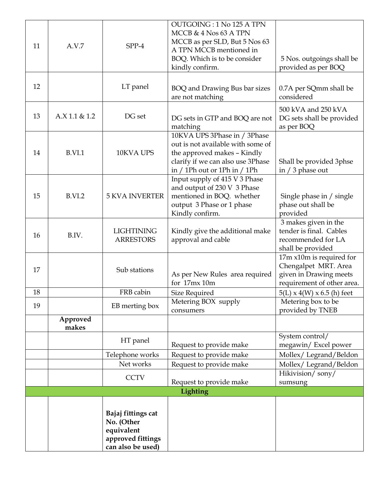| 11 | A.V.7             | SPP-4                                                                                    | OUTGOING: 1 No 125 A TPN<br>MCCB $& 4$ Nos 63 A TPN<br>MCCB as per SLD, But 5 Nos 63<br>A TPN MCCB mentioned in<br>BOQ. Which is to be consider<br>kindly confirm.        | 5 Nos. outgoings shall be<br>provided as per BOQ                                                         |
|----|-------------------|------------------------------------------------------------------------------------------|---------------------------------------------------------------------------------------------------------------------------------------------------------------------------|----------------------------------------------------------------------------------------------------------|
| 12 |                   | LT panel                                                                                 | BOQ and Drawing Bus bar sizes<br>are not matching                                                                                                                         | 0.7A per SQmm shall be<br>considered                                                                     |
| 13 | A.X 1.1 & 1.2     | DG set                                                                                   | DG sets in GTP and BOQ are not<br>matching                                                                                                                                | 500 kVA and 250 kVA<br>DG sets shall be provided<br>as per BOQ                                           |
| 14 | B.VI.1            | 10KVA UPS                                                                                | 10KVA UPS 3Phase in / 3Phase<br>out is not available with some of<br>the approved makes - Kindly<br>clarify if we can also use 3Phase<br>in $/1$ Ph out or 1Ph in $/1$ Ph | Shall be provided 3phse<br>in $/3$ phase out                                                             |
| 15 | B.VI.2            | <b>5 KVA INVERTER</b>                                                                    | Input supply of 415 V 3 Phase<br>and output of 230 V 3 Phase<br>mentioned in BOQ. whether<br>output 3 Phase or 1 phase<br>Kindly confirm.                                 | Single phase in / single<br>phase out shall be<br>provided                                               |
| 16 | B.IV.             | <b>LIGHTINING</b><br><b>ARRESTORS</b>                                                    | Kindly give the additional make<br>approval and cable                                                                                                                     | 3 makes given in the<br>tender is final. Cables<br>recommended for LA<br>shall be provided               |
| 17 |                   | Sub stations                                                                             | As per New Rules area required<br>for 17mx 10m                                                                                                                            | 17m x10m is required for<br>Chengalpet MRT. Area<br>given in Drawing meets<br>requirement of other area. |
| 18 |                   | FRB cabin                                                                                | Size Required                                                                                                                                                             | $5(L) \times 4(W) \times 6.5$ (h) feet                                                                   |
| 19 |                   | EB merting box                                                                           | Metering BOX supply<br>consumers                                                                                                                                          | Metering box to be<br>provided by TNEB                                                                   |
|    | Approved<br>makes |                                                                                          |                                                                                                                                                                           |                                                                                                          |
|    |                   | HT panel                                                                                 | Request to provide make                                                                                                                                                   | System control/<br>megawin/ Excel power                                                                  |
|    |                   | Telephone works                                                                          | Request to provide make                                                                                                                                                   | Mollex/Legrand/Beldon                                                                                    |
|    |                   | Net works                                                                                | Request to provide make                                                                                                                                                   | Mollex/Legrand/Beldon                                                                                    |
|    |                   | <b>CCTV</b>                                                                              | Request to provide make                                                                                                                                                   | Hikivision/sony/<br>sumsung                                                                              |
|    |                   |                                                                                          | Lighting                                                                                                                                                                  |                                                                                                          |
|    |                   | Bajaj fittings cat<br>No. (Other<br>equivalent<br>approved fittings<br>can also be used) |                                                                                                                                                                           |                                                                                                          |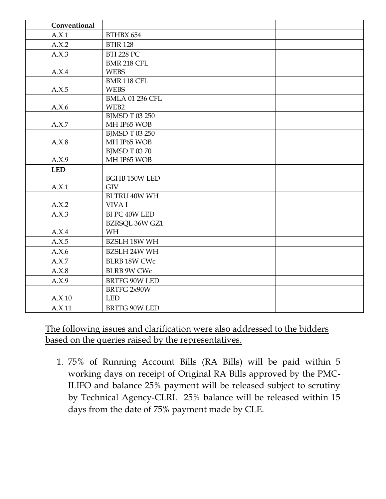| Conventional |                             |  |
|--------------|-----------------------------|--|
| A.X.1        | BTHBX 654                   |  |
| A.X.2        | <b>BTIR 128</b>             |  |
| A.X.3        | <b>BTI 228 PC</b>           |  |
|              | <b>BMR 218 CFL</b>          |  |
| A.X.4        | <b>WEBS</b>                 |  |
|              | BMR 118 CFL                 |  |
| A.X.5        | <b>WEBS</b>                 |  |
|              | <b>BMLA 01 236 CFL</b>      |  |
| A.X.6        | WEB2                        |  |
|              | <b>BJMSD T 03 250</b>       |  |
| A.X.7        | MH IP65 WOB                 |  |
|              | <b>BJMSD T 03 250</b>       |  |
| A.X.8        | MH IP65 WOB                 |  |
| A.X.9        | BJMSD T 0370<br>MH IP65 WOB |  |
|              |                             |  |
| <b>LED</b>   | <b>BGHB 150W LED</b>        |  |
| A.X.1        | <b>GIV</b>                  |  |
|              | <b>BLTRU 40W WH</b>         |  |
| A.X.2        | VIVA I                      |  |
| A.X.3        | BI PC 40W LED               |  |
|              | <b>BZRSQL 36W GZ1</b>       |  |
| A.X.4        | <b>WH</b>                   |  |
| A.X.5        | <b>BZSLH 18W WH</b>         |  |
| A.X.6        | <b>BZSLH 24W WH</b>         |  |
| A.X.7        | <b>BLRB 18W CWc</b>         |  |
| A.X.8        | <b>BLRB 9W CWc</b>          |  |
| A.X.9        | BRTFG 90W LED               |  |
|              | BRTFG 2x90W                 |  |
| A.X.10       | <b>LED</b>                  |  |
| A.X.11       | BRTFG 90W LED               |  |
|              |                             |  |

The following issues and clarification were also addressed to the bidders based on the queries raised by the representatives.

1. 75% of Running Account Bills (RA Bills) will be paid within 5 working days on receipt of Original RA Bills approved by the PMC-ILIFO and balance 25% payment will be released subject to scrutiny by Technical Agency-CLRI. 25% balance will be released within 15 days from the date of 75% payment made by CLE.